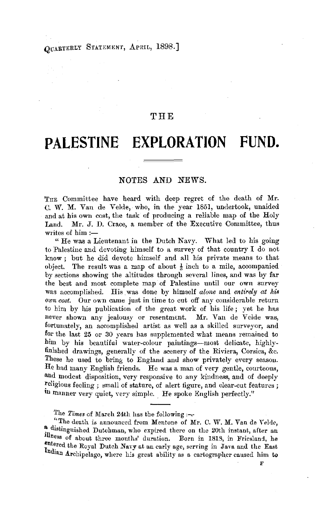## OUARTERLY STATEMENT, APRIL, 1898.]

## THE

# **PALESTINE EXPLORATION FUND.**

### NOTES AND NEWS.

THE Committee have heard with deep regret of the death of Mr. C. W. M. Van de Velde, who, in the year 1851, undertook, unaided and at his own cost, the task of producing a reliable map of the Holy Land. Mr. J. D. Crace, a member of the Executive Committee, thus writes of  $him :=$ 

" He was a Lieutenant in the Dutch Navy. What led to his going to Palestine and devoting himself to a survey of that country I do not know ; but he did devote himself and all his private means to that object. The result was a map of about  $\frac{1}{3}$  inch to a mile, accompanied by sections showing the altitudes through several lines, and was by far the best and most complete map of Palestine until our own survey was accomplished. His was done by himself *alone* and *entirely at his*  own *cost.* Our own came just in time to cut off any considerable return to him by his publication of the great work of his life ; yet he has never shown any jealousy or resentment. Mr. Van de Velde was, fortunately, an accomplished artist as well as a skilled surveyor, and for the last 25 or 30 years has supplemented what means remained to him by his beautiful water-colour paintings-most delicate, highlyfinished drawings, generally of the scenery of the Riviera, Corsica, &c. These he used to bring to England and show privately every season. He had many English friends. He was a man of very gentle, courteous, and modest disposition, very responsive to any kindness, and of deeply religious feeling ; small of stature, of alert figure, and clear-cut features ; in manner very quiet, very simple. He spoke English perfectly."

The *Times* of March 24th has the following :-

" The death is announced from Mentone of Mr. C. W. M. Van de Velde, a distinguished Dutchman, who expired there on the 20th instant, after an illness of about three months' duration. Born in 1818, in Friesland, he entered the Royal Dutch Navy at an early age, serving in Java and the East Indian Archipelago, where his great ability as a cartographer caused him to

F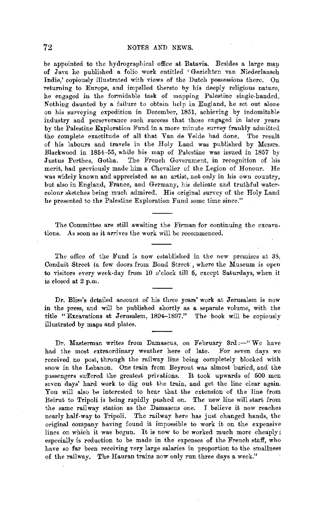be appointed to the hydrographical office at Batavia. Besides a large map of Java he published a folio work entitled 'Gezichten van Niederlansch Indie,' copiously illustrated with views of the Dutch possessions there. On -returning to Europe, and impelled thereto by his deeply religious nature, he engaged in the formidable task of mapping Palestine single-handed. Nothing daunted by a failure to obtain help in England, he set out alone on his surveying expedition in December, 1851, achieving by indomitable industry and perseverance such success that those engaged in later years by the Palestine Exploration Fund in a more minute survey frankly admitted the complete exactitude of all that Van de Velde had done. The result of his labours and travels in the Holy Land was published by Messrs. Blackwood in 1854-55, while his map of Palestine was issued in 1857 by Justus Perthes, Gotha. The French Government, in recognition of his merit, had previously made him a Chevalier of the Legion of Honour. He was widely known and appreciated as an artist, not only in his own country, but also in England, France, and Germany, his delicate and truthful watercolour sketches being much admired. His original survey of the Holy Land he presented to the Palestine Exploration Fund some time since."

The Committee are still awaiting the Firman for continuing the excavations. As soon as it arrives the work will be recommenced.

The office of the Fund is now established in the new premises at 33, Conduit Street (a few doors from Bond Street', where the Museum is open to visitors every week-day from 10 o'clock till 5, except Saturdays, when it is closed at 2 p.m.

Dr. Bliss's detailed account of his three years' work at Jerusalem is now in the press, and will be published shortly as a separate volume, with the title "Excavations at Jerusalem, 1894-1897." The book will be copiously illustrated by maps and plates.

Dr. Masterman writes from Damascus, on February 3rd :- $"We have$ had the most extraordinary weather here of late. For seven days we received no post, through the railway line being completely blocked with snow in the Lebanon. One train from Beyrout was almost buried, and the passengers suffered the greatest privations. It took upwards of 500 men seven days' hard work to dig out the train, and get the line clear again. You will also be interested to hear that the extension of the line from Beirut to Tripoli is being rapidly pushed on. The new line will start from the same railway station as the Damascus one. I believe it now reaches nearly half-way to Tripoli. The railway here has just changed hands, the original company having found it impossible to work it on the expensive lines on which it was begun. It is now to be worked much more cheaply; especially is reduction to be made in the expenses of the French staff, who have so far been receiving very large salaries in proportion to the smallness of the railway. The Hauran trains now only run three days a week."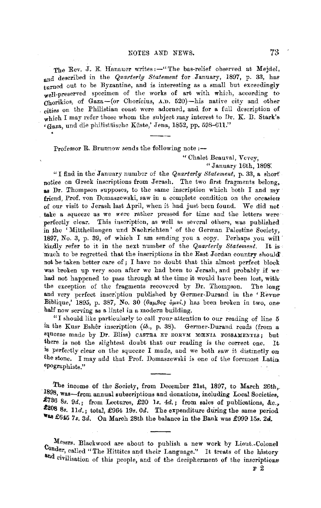The Rev. J. E. Hanauer writes:-"The bas-relief observed at Mejdel, and described in the *Quarterly Statement* for .January, 1897, p. 33, has turned out to be Byzantine, and is interesting as a small but exceedingly well-preserved specimen of the works of art with which, according to Ohorikios, of Gaza-(or Chorfcius, A.D. 520)-his native city and other cities on the Philistian coast were adorned, and for a foll description of which I may refer those whom the subject may interest to Dr. K. B. Stark's (Gaza, und die philistäische Küste,' Jena, 1852, pp. 598-611."

Professor R. Brunnow sends the following note :--

" Chalet Beauval, Vevey,

"January 16th, 1898:

"I find in the January number of the *Quarterly Statement,* p. 33, a short notice on Greek inscriptions from Jerash. The two first fragments belong, as Dr. Thompson supposes, to the same inscription which both I and my friend, Prof. von Domaszewski, saw in a complete condition on the occasion of our visit to Jerash last April, when it had just been found. We did not take a squeeze as we were rather pressed for time and the letters were·· perfectly clear. This inscription, as well as several others, was published in the 'Mittheilungen und Nachrichten' of the German Palestine Society, 1897, No. 3, p. 39, of which I am sending yon a copy. Perhaps you will· kindly refer to it in the next number of the *Quarterly Statement*. It is much to be regretted that the inscriptions in the East Jordan country should'. not be taken better care of; I have no doubt that this almost perfect block was broken up very soon after we had been to Jerash, and probably if we had not happened to pass through at the time it would have been lost, withthe exception of the fragments recovered by Dr. Thompson. The long and very perfect inscription published by Germer-Durand in the 'Revue-Biblique,' 1895, p. 387, No. 30  $(\theta_{\alpha\mu}\beta_{\alpha\beta} \delta_{\mu\nu}u)$  has been broken in two, onehalf now serving as a lintel in a modern building.

"I should like particularly to call your attention to our reading of line 5 in the Kusr Bsher inscription *(ib.,* p. 38). Germer-Durand reads (from a squeeze made by Dr. Bliss) CASTRA ET EORVM MENIA FOSSAMENTIS; but there is not the slightest doubt that our reading is the correct one. It is perfectly clear on the squeeze I made, and we both saw it distmctly on the stone. I may add that Prof. Domaszewski is one of the foremost Latin. epographists."

The income of the Society, from December 21st, 1897, to March 26th,. 1898, was-from annual subscriptions and donations, including Local Societies, £736 *8s.* 9d.; from Lectures, £20 *ls. 4d.* ; from sales of publications, &c., **f208** 8s. lld.; total, £964 19s. Od. The expenditure during the same period **"as** £645 *7s.* 3d. On March 28th the balance in the Bank was £999 158. *2d.* 

Messrs. Blackwood are about to publish a new work by Lieut.-Colonel Conder, called "The Hittites and their Language." It treats of the history and civilisation of this people, and of the decipherment of the inscriptions

F 2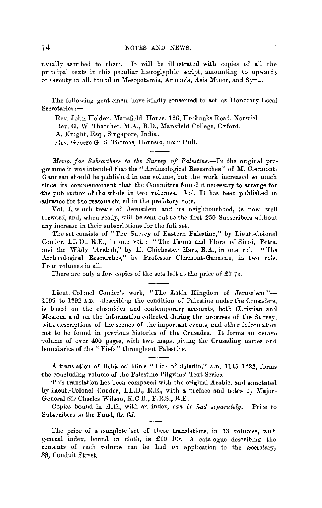usually ascribed to them. It will be illustrated with copies of all the principal texts in this peculiar hieroglyphic script, amounting to upwards of seventy in all, found in Mesopotamia, Armenia, Asia Minor, and Syria.

The following gentlemen have kindly consented to act as Honorary Local Secretaries :-

Rev. John Holden, Mansfield House, 126, Unthanks Road, Norwich. Rev. G. W. Thatcher, M.A., B.D., Mansfield College, Oxford.

A. Knight, Esq., Singapore, India .

Rev. George G. S. Thomas, Hornsca, near Hull.

*Memo. for Subscribers to the Survey of Palestine.*-In the original programme it was intended that the "Archaeological Researches" of M. Clermont-Ganneau should be published in one volume, but the work increased so much since its commencement that the Committee found it necessary to arrange for the publication of the whole in two volumes. Yol. II has been published in ,advance for the reasons stated in the prefatory note.

Vol. I, which treats of Jerusalem and its neighbourhood, is now well forward, and, when ready, will be sent out to the first 250 Subscribors without any increase in their subscriptions for the full set.

The set consists of "The Survey of Eastern Palestine," by Lieut-Colonel Conder, LL.D., R.E., in one vol.; "The Fauna and Flora of Sinai, Petra, and the Wady 'Arabah," by H. Chichester Hart, B.A., in one rol.; "The Archæological Researches," by Professor Clermont-Ganneau, in two vols. Four volumes in all.

There are only a few copies of the sets left at the price of £7 7s.

Lient.-Colonel Conder's work, "The Latin Kingdom of Jerusalem"- 1099 to 1292  $\Delta.D.$  -describing the condition of Palestine under the Crusaders, is based on the clironicles and contemporary accounts, both Christian and Moslem, and on the information collected during the progress of the Survey, with descriptions of the scenes of the important events, and other information not to be found in previous histories of the Crusades. It forms an octavo volume of over 400 pages, with two maps, giving the Crusading names and -boundaries of the " Fiefs" throughout Palestine.

A translation of Beha ed D1n's "Life of Saladin," A.D. 1145-1232, forms the concluding volume of the Palestine Pilgrims' Text Series.

This translation has been compared with the original Arabic, and annotated by Lieut.-Colonel Conder, LL.D., R.E., with a preface and notes by Major• General Sir Charles Wilson, K.C.B., F.R.S., R.E.

Copies bound in cloth, with an index, *can be had separately*. Price to Subscribers to the Fund, *6s. 6d.* 

The price of a complete set of these translations, in 13 volumes, with general index, bound in cloth, is £10 10s. A catalogue describing the contents of each volume can be had on application to the Secretary, 38, Conduit Street.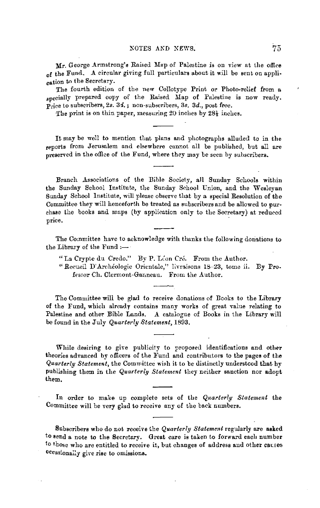Mr. George Armstrong's Raised Map of Palestine is on view at the office of the Fund. A circular giving full particulars about it will be sent on application to the Secretary.

The fourth edition of the new Collotype Print or Photo-relief from a specially prepared copy of the Raised Map of Palestine is now ready. Price to subscribers, 2s. *3i.;* non-subscribers, *3s. 3d.,* post free.

The print is on thin paper, measuring 20 inches by 28½ inches.

It may be well to mention that plans and photographs alluded to in the reports from Jerusalem and elsewhere cannot all be published, but all are preserved in the office of the Fund, where they may be seen by subscribers.

Branch Associations of the Bible Society, all Sunday Schools within the Sunday School Institute, the Sunday School Union, and the Wesleyan Sunday School Institute, will please observe that by a special Resolution of the Committee they will henceforth be treated as subscribers and be allowed to pur• chase the books and maps (by application only to the Secretary) at reduced price.

The Committee have to acknowledge with thanks the following donations to the Library of the Fund :-

" La Crypte du Credo." By **P.** Leon Cra. From the Author.

"Recueil D'Archéologie Orientale," livraisons 18-23, tome ii. By Professor Ch. Clermont-Ganneau. From the Author.

The Committee **will** be glad to receive donations of Books to the **Library**  of the Fund, which already contains many works of great value relating to Palestine and other Bible Lands. A catalogue of Books in the Library will be found in the July *Quarterly Statement,* 1893.

While desiring to give publicity to proposed identifications and other theories advanced by officers of the Fund and contributors to the pages of the *Quarterly Statement,* the Committee wish it to be distinctly understood that by publishing them in the *Quarterly Statement* they neither sanction nor adopt them,

In order to make up complete sets of the *Quarterly Statement* the Committee will be very glad to receive any of the buck numbers.

Subscribers who do not receive the *Quarterly Statement* regularly are **asked**  to send a note to the Secretary. Great care is taken to forward each number to those who are entitled to receive it, but changes of address and other causes Occasionaily give rise to omissions.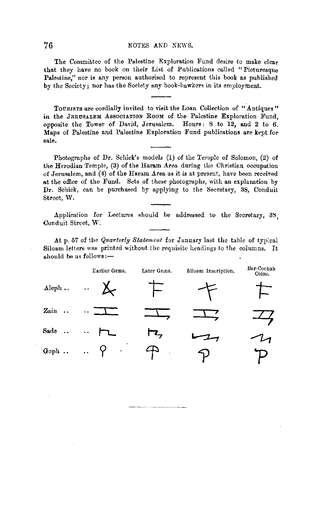#### 76 NOTES AKD NEWS.

The Committee of the Palestine Exploration Fund desire to make clear that they have no book on their List of Publications called "Picturesque Palestine," nor is any person authorised to represent this book as published by the Society; nor has the Society any book-hawkers in its employment.

TOURISTS are cordially invited to visit the Loan Collection of ".Antiques" in the JERUSALEM ASSOCIATION ROOM of the Palestine Exploration Fund, opposite the Tower of David, Jerusalem. Hours: 8 to 12, and 2 to 6. Maps of Palestine and Palestine Exploration Fund publications are kept for sale.

Photographs of Dr. Schick's models (1) of the Temple of Solomon, (2) of the Herodian Temple, (3) of the Haram Area during the Christian occupation of Jerusalem, and (4) of the Haram Area as it is at present, have been received at the office of the Fund. Sets of these photographs, with an explanation by **Dr.** Schick, can be purchased by applying to the Secretary, 38, Conduit Street, **W.** 

Application for Lectures should be addressed to the Secretary, 38, Conduit Street, W.

At p. 57 of the *Quarterly Statement* for January last the table of typ:cal Siloam letters was printed without the requisite headings to the columns. It  $should be as follows: -$ 

|                                | Earlier Gems.                | Later Gems. | Siloam Inscription. | Bar-Cochab<br>Coins. |  |  |
|--------------------------------|------------------------------|-------------|---------------------|----------------------|--|--|
| Aleph.                         | $\ddot{\phantom{0}}$         |             |                     |                      |  |  |
| Zain<br>$\ddot{\phantom{a}}$ . | $\ddot{\phantom{1}}$         |             |                     |                      |  |  |
| Sade<br>$\ddotsc$              | Ϋ.                           |             |                     |                      |  |  |
| Goph                           | $\ddot{\cdot}$<br>$\epsilon$ | ٠           |                     |                      |  |  |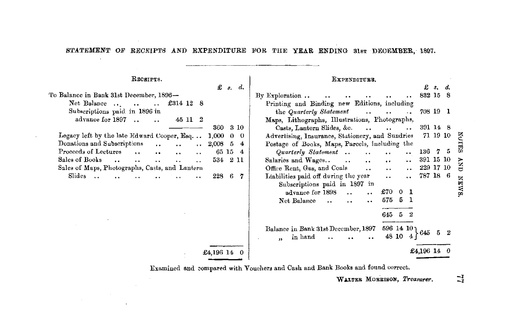STATEMENT OF RECEIPTS AND EXPENDITURE FOR THE YEAR ENDING 31st DECEMBER, 1897.

**Received** 

 $\ddot{\phantom{0}}$ 

| ----------                                                                                                        | BAFBBDITULD.                                                                                     |
|-------------------------------------------------------------------------------------------------------------------|--------------------------------------------------------------------------------------------------|
| $\mathbf{f}$ $s$ , $d$ .                                                                                          | £ s. d.                                                                                          |
| Fo Balance in Bank 31st December, 1896—                                                                           | By Exploration $\ldots$<br>832 15 8                                                              |
| Net Balance $\ldots$ .<br>£314 12 8<br>$\ddots$                                                                   | Printing and Binding new Editions, including                                                     |
| Subscriptions paid in 1896 in                                                                                     | the Quarterly Statement<br>708 19 1<br>$\cdots$ $\cdots$<br>$\ddots$                             |
| advance for 1897.<br>45 11 2                                                                                      | Maps, Lithographs, Illustrations, Photographs,                                                   |
| 360<br>3 10                                                                                                       | Casts, Lantern Slides, &c.<br>391 14 8<br>$\cdots$                                               |
| Legacy left by the late Edward Cooper, $E_{sq.}$ 1,000<br>$0\quad 0$                                              | 증<br>Advertising, Insurance, Stationery, and Sundries<br>71 19 10                                |
| Donations and Subscriptions<br>$\ldots$ 2,008 5<br>$\overline{4}$<br>$\cdot$ .                                    | Postage of Books, Maps, Parcels, including the                                                   |
| Proceeds of Lectures<br>65 15 4<br>$\ddotsc$<br>$\ddot{\phantom{0}}$<br>$\cdot$ .<br>$\ddot{\phantom{a}}$         | 冨<br>Quarterly Statement<br>136 7 5<br>$\ddotsc$<br>$\bullet$                                    |
| Sales of Books<br>534 2 11<br>$\ddot{\phantom{0}}$<br>$\ddotsc$<br>$\cdot$ .<br>$\ddotsc$<br>$\ddot{\phantom{0}}$ | 391 15 10<br>Salaries and Wages<br>$\ddot{\phantom{a}}$<br>$\ddotsc$<br>$\ddot{\phantom{0}}$     |
| Sales of Maps, Photographs, Casts, and Lantern                                                                    | <b>CKP</b><br>229 17 10<br>Office Rent, Gas, and Coals<br>$\ddot{\phantom{0}}$<br>$\ddotsc$      |
| Slides<br>228 6 7                                                                                                 | 787 18 6<br>Liabilities paid off during the year<br>$\ddot{\phantom{0}}$<br>$\ddot{\phantom{0}}$ |
|                                                                                                                   | <b>NEWS</b><br>Subscriptions paid in 1897 in                                                     |
|                                                                                                                   | £70 0 1                                                                                          |
|                                                                                                                   | advance for 1898<br>$\ddot{\phantom{0}}$                                                         |
|                                                                                                                   | 575 5 1<br>Net Balance<br>$\cdot$ .<br>$\cdot$ .<br>$\ddot{\phantom{0}}$                         |
|                                                                                                                   | 645 5 2                                                                                          |
|                                                                                                                   |                                                                                                  |
|                                                                                                                   | 596 14 10 1<br>Balance in Bank 31st December, 1897                                               |
|                                                                                                                   | 48 10 4<br>in hand<br>$\mathbf{u}$                                                               |
|                                                                                                                   |                                                                                                  |
| $£4,196$ 14 0                                                                                                     | £4,196 14                                                                                        |
|                                                                                                                   |                                                                                                  |

Examined and compared with Vouchers and Cash and Bank Books and found correct.

WALTER MORRISON, Treasurer.

Experiments.

*-1 -1*